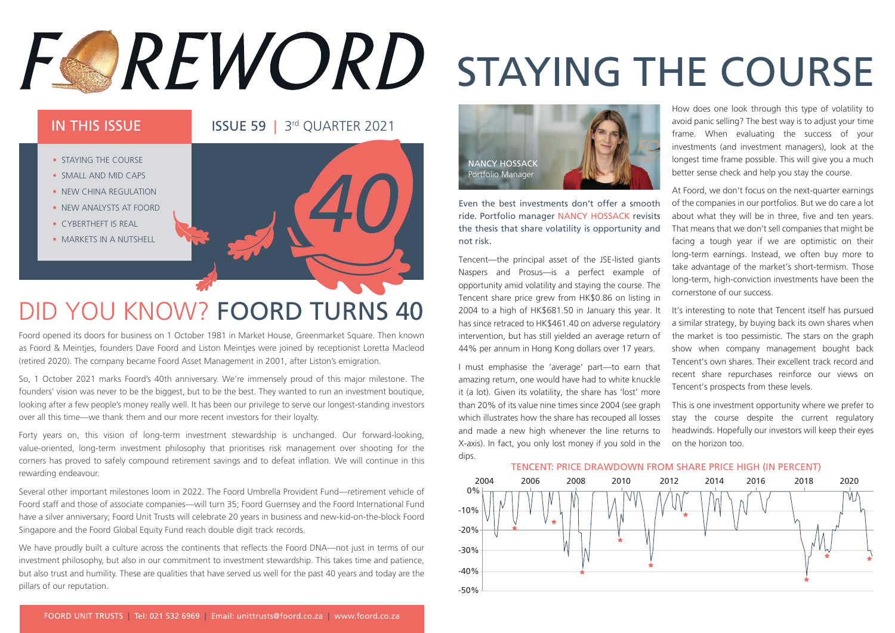# FOREWORD STAYING THE COURSE

### IN THIS ISSUE **15 ISSUE 59 | 3rd OUARTER 2021**



### DID YOU KNOW? FOORD TURNS 40

Foord opened its doors for business on 1 October 1981 in Market House, Greenmarket Square. Then known as Foord & Meintjes, founders Dave Foord and Liston Meintjes were joined by receptionist Loretta Macleod (retired 2020). The company became Foord Asset Management in 2001, after Liston's emigration.

So, 1 October 2021 marks Foord's 40th anniversary. We're immensely proud of this major milestone. The founders' vision was never to be the biggest, but to be the best. They wanted to run an investment boutique, looking after a few people's money really well. It has been our privilege to serve our longest-standing investors over all this time—we thank them and our more recent investors for their loyalty.

Forty years on, this vision of long-term investment stewardship is unchanged. Our forward-looking, value-oriented, long-term investment philosophy that prioritises risk management over shooting for the corners has proved to safely compound retirement savings and to defeat inflation. We will continue in this rewarding endeavour.

Several other important milestones loom in 2022. The Foord Umbrella Provident Fund—retirement vehicle of Foord staff and those of associate companies—will turn 35; Foord Guernsey and the Foord International Fund have a silver anniversary; Foord Unit Trusts will celebrate 20 years in business and new-kid-on-the-block Foord Singapore and the Foord Global Equity Fund reach double digit track records.

We have proudly built a culture across the continents that reflects the Foord DNA—not just in terms of our investment philosophy, but also in our commitment to investment stewardship. This takes time and patience, but also trust and humility. These are qualities that have served us well for the past 40 years and today are the pillars of our reputation.



Even the best investments don't offer a smooth ride. Portfolio manager NANCY HOSSACK revisits the thesis that share volatility is opportunity and not risk.

Tencent—the principal asset of the JSE-listed giants Naspers and Prosus—is a perfect example of opportunity amid volatility and staying the course. The Tencent share price grew from HK\$0.86 on listing in 2004 to a high of HK\$681.50 in January this year. It has since retraced to HK\$461.40 on adverse regulatory intervention, but has still yielded an average return of 44% per annum in Hong Kong dollars over 17 years.

I must emphasise the 'average' part—to earn that amazing return, one would have had to white knuckle it (a lot). Given its volatility, the share has 'lost' more than 20% of its value nine times since 2004 (see graph which illustrates how the share has recouped all losses and made a new high whenever the line returns to X-axis). In fact, you only lost money if you sold in the dips.

How does one look through this type of volatility to avoid panic selling? The best way is to adjust your time frame. When evaluating the success of your investments (and investment managers), look at the longest time frame possible. This will give you a much better sense check and help you stay the course.

At Foord, we don't focus on the next-quarter earnings of the companies in our portfolios. But we do care a lot about what they will be in three, five and ten years. That means that we don't sell companies that might be facing a tough year if we are optimistic on their long-term earnings. Instead, we often buy more to take advantage of the market's short-termism. Those long-term, high-conviction investments have been the cornerstone of our success.

It's interesting to note that Tencent itself has pursued a similar strategy, by buying back its own shares when the market is too pessimistic. The stars on the graph show when company management bought back Tencent's own shares. Their excellent track record and recent share repurchases reinforce our views on Tencent's prospects from these levels.

This is one investment opportunity where we prefer to stay the course despite the current regulatory headwinds. Hopefully our investors will keep their eyes on the horizon too.



TENCENT: PRICE DRAWDOWN FROM SHARE PRICE HIGH (IN PERCENT)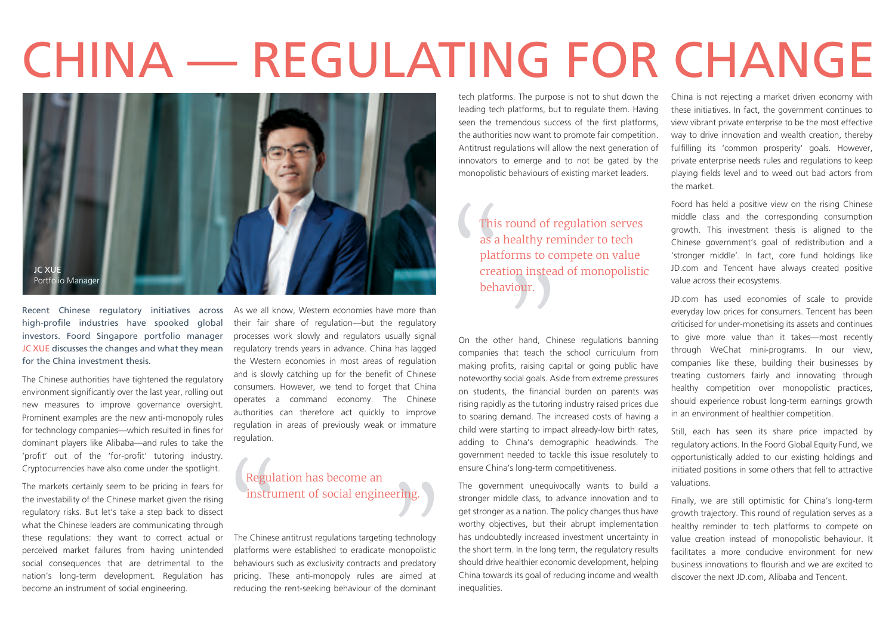# CHINA — REGULATING FOR CHANGE



Recent Chinese regulatory initiatives across high-profile industries have spooked global investors. Foord Singapore portfolio manager JC XUE discusses the changes and what they mean for the China investment thesis.

The Chinese authorities have tightened the regulatory environment significantly over the last year, rolling out new measures to improve governance oversight. Prominent examples are the new anti-monopoly rules for technology companies—which resulted in fines for dominant players like Alibaba—and rules to take the 'profit' out of the 'for-profit' tutoring industry. Cryptocurrencies have also come under the spotlight.

The markets certainly seem to be pricing in fears for the investability of the Chinese market given the rising regulatory risks. But let's take a step back to dissect what the Chinese leaders are communicating through these regulations: they want to correct actual or perceived market failures from having unintended social consequences that are detrimental to the nation's long-term development. Regulation has become an instrument of social engineering.

As we all know, Western economies have more than their fair share of regulation—but the regulatory processes work slowly and regulators usually signal regulatory trends years in advance. China has lagged the Western economies in most areas of regulation and is slowly catching up for the benefit of Chinese consumers. However, we tend to forget that China operates a command economy. The Chinese authorities can therefore act quickly to improve regulation in areas of previously weak or immature regulation.

#### Regulation has become an instrument of social engineering.

The Chinese antitrust regulations targeting technology platforms were established to eradicate monopolistic behaviours such as exclusivity contracts and predatory pricing. These anti-monopoly rules are aimed at reducing the rent-seeking behaviour of the dominant

tech platforms. The purpose is not to shut down the leading tech platforms, but to regulate them. Having seen the tremendous success of the first platforms, the authorities now want to promote fair competition. Antitrust regulations will allow the next generation of innovators to emerge and to not be gated by the monopolistic behaviours of existing market leaders.

> This round of regulation serves as a healthy reminder to tech platforms to compete on value creation instead of monopolistic behaviour.

On the other hand, Chinese regulations banning companies that teach the school curriculum from making profits, raising capital or going public have noteworthy social goals. Aside from extreme pressures on students, the financial burden on parents was rising rapidly as the tutoring industry raised prices due to soaring demand. The increased costs of having a child were starting to impact already-low birth rates, adding to China's demographic headwinds. The government needed to tackle this issue resolutely to ensure China's long-term competitiveness.

The government unequivocally wants to build a stronger middle class, to advance innovation and to get stronger as a nation. The policy changes thus have worthy objectives, but their abrupt implementation has undoubtedly increased investment uncertainty in the short term. In the long term, the regulatory results should drive healthier economic development, helping China towards its goal of reducing income and wealth inequalities.

China is not rejecting a market driven economy with these initiatives. In fact, the government continues to view vibrant private enterprise to be the most effective way to drive innovation and wealth creation, thereby fulfilling its 'common prosperity' goals. However, private enterprise needs rules and regulations to keep playing fields level and to weed out bad actors from the market.

Foord has held a positive view on the rising Chinese middle class and the corresponding consumption growth. This investment thesis is aligned to the Chinese government's goal of redistribution and a 'stronger middle'. In fact, core fund holdings like JD.com and Tencent have always created positive value across their ecosystems.

JD.com has used economies of scale to provide everyday low prices for consumers. Tencent has been criticised for under-monetising its assets and continues to give more value than it takes—most recently through WeChat mini-programs. In our view, companies like these, building their businesses by treating customers fairly and innovating through healthy competition over monopolistic practices, should experience robust long-term earnings growth in an environment of healthier competition.

Still, each has seen its share price impacted by regulatory actions. In the Foord Global Equity Fund, we opportunistically added to our existing holdings and initiated positions in some others that fell to attractive valuations.

Finally, we are still optimistic for China's long-term growth trajectory. This round of regulation serves as a healthy reminder to tech platforms to compete on value creation instead of monopolistic behaviour. It facilitates a more conducive environment for new business innovations to flourish and we are excited to discover the next JD.com, Alibaba and Tencent.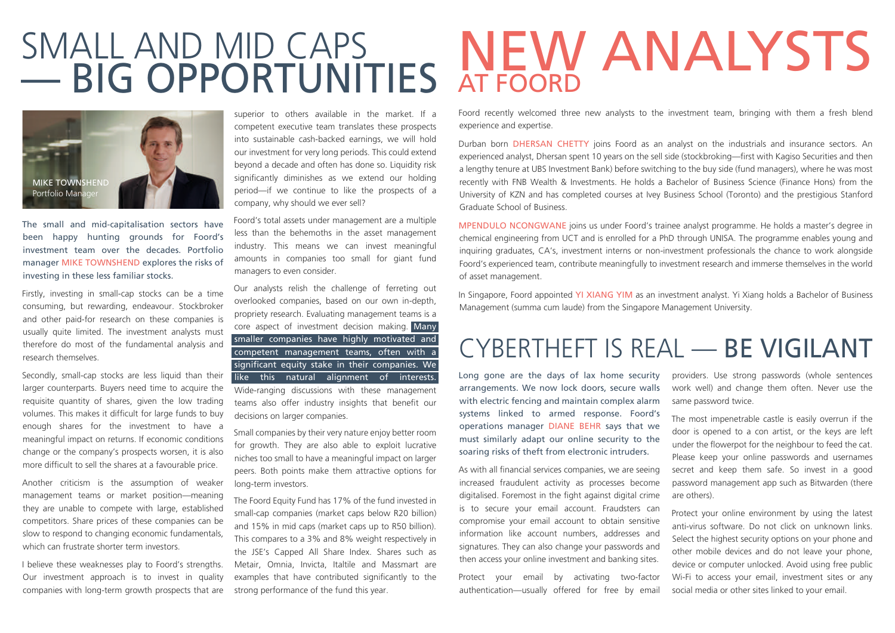### SMALL AND MID CAPS — BIG OPPORTUNITIES



The small and mid-capitalisation sectors have been happy hunting grounds for Foord's investment team over the decades. Portfolio manager MIKE TOWNSHEND explores the risks of investing in these less familiar stocks.

Firstly, investing in small-cap stocks can be a time consuming, but rewarding, endeavour. Stockbroker and other paid-for research on these companies is usually quite limited. The investment analysts must therefore do most of the fundamental analysis and research themselves.

Secondly, small-cap stocks are less liquid than their larger counterparts. Buyers need time to acquire the requisite quantity of shares, given the low trading volumes. This makes it difficult for large funds to buy enough shares for the investment to have a meaningful impact on returns. If economic conditions change or the company's prospects worsen, it is also more difficult to sell the shares at a favourable price.

Another criticism is the assumption of weaker management teams or market position—meaning they are unable to compete with large, established competitors. Share prices of these companies can be slow to respond to changing economic fundamentals, which can frustrate shorter term investors.

I believe these weaknesses play to Foord's strengths. Our investment approach is to invest in quality companies with long-term growth prospects that are superior to others available in the market. If a competent executive team translates these prospects into sustainable cash-backed earnings, we will hold our investment for very long periods. This could extend beyond a decade and often has done so. Liquidity risk significantly diminishes as we extend our holding period—if we continue to like the prospects of a company, why should we ever sell?

Foord's total assets under management are a multiple less than the behemoths in the asset management industry. This means we can invest meaningful amounts in companies too small for giant fund managers to even consider.

Our analysts relish the challenge of ferreting out overlooked companies, based on our own in-depth, propriety research. Evaluating management teams is a core aspect of investment decision making. Many smaller companies have highly motivated and competent management teams, often with a significant equity stake in their companies. We like this natural alignment of interests.

Wide-ranging discussions with these management teams also offer industry insights that benefit our decisions on larger companies.

Small companies by their very nature enjoy better room for growth. They are also able to exploit lucrative niches too small to have a meaningful impact on larger peers. Both points make them attractive options for long-term investors.

The Foord Equity Fund has 17% of the fund invested in small-cap companies (market caps below R20 billion) and 15% in mid caps (market caps up to R50 billion). This compares to a 3% and 8% weight respectively in the JSE's Capped All Share Index. Shares such as Metair, Omnia, Invicta, Italtile and Massmart are examples that have contributed significantly to the strong performance of the fund this year.

### **NEW ANALYSTS** AT FOORD

Foord recently welcomed three new analysts to the investment team, bringing with them a fresh blend experience and expertise.

Durban born DHERSAN CHETTY joins Foord as an analyst on the industrials and insurance sectors. An experienced analyst, Dhersan spent 10 years on the sell side (stockbroking—first with Kagiso Securities and then a lengthy tenure at UBS Investment Bank) before switching to the buy side (fund managers), where he was most recently with FNB Wealth & Investments. He holds a Bachelor of Business Science (Finance Hons) from the University of KZN and has completed courses at Ivey Business School (Toronto) and the prestigious Stanford Graduate School of Business.

MPENDULO NCONGWANE joins us under Foord's trainee analyst programme. He holds a master's degree in chemical engineering from UCT and is enrolled for a PhD through UNISA. The programme enables young and inquiring graduates, CA's, investment interns or non-investment professionals the chance to work alongside Foord's experienced team, contribute meaningfully to investment research and immerse themselves in the world of asset management.

In Singapore, Foord appointed YI XIANG YIM as an investment analyst. Yi Xiang holds a Bachelor of Business Management (summa cum laude) from the Singapore Management University.

### CYBERTHEFT IS REAL — BE VIGILANT

Long gone are the days of lax home security arrangements. We now lock doors, secure walls with electric fencing and maintain complex alarm systems linked to armed response. Foord's operations manager DIANE BEHR says that we must similarly adapt our online security to the soaring risks of theft from electronic intruders.

As with all financial services companies, we are seeing increased fraudulent activity as processes become digitalised. Foremost in the fight against digital crime is to secure your email account. Fraudsters can compromise your email account to obtain sensitive information like account numbers, addresses and signatures. They can also change your passwords and then access your online investment and banking sites.

Protect your email by activating two-factor authentication—usually offered for free by email

providers. Use strong passwords (whole sentences work well) and change them often. Never use the same password twice.

The most impenetrable castle is easily overrun if the door is opened to a con artist, or the keys are left under the flowerpot for the neighbour to feed the cat. Please keep your online passwords and usernames secret and keep them safe. So invest in a good password management app such as Bitwarden (there are others).

Protect your online environment by using the latest anti-virus software. Do not click on unknown links. Select the highest security options on your phone and other mobile devices and do not leave your phone, device or computer unlocked. Avoid using free public Wi-Fi to access your email, investment sites or any social media or other sites linked to your email.